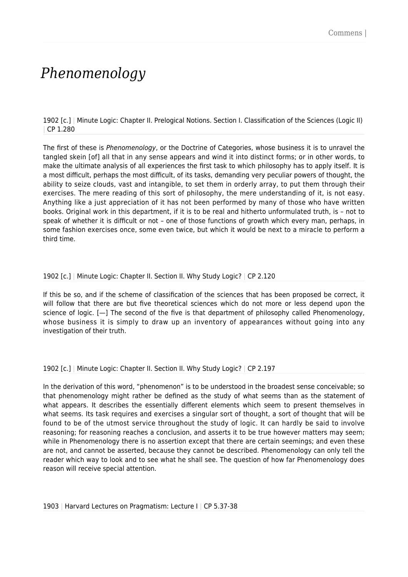# *Phenomenology*

1902 [c.] | Minute Logic: Chapter II. Prelogical Notions. Section I. Classification of the Sciences (Logic II) | CP 1.280

The first of these is Phenomenology, or the Doctrine of Categories, whose business it is to unravel the tangled skein [of] all that in any sense appears and wind it into distinct forms; or in other words, to make the ultimate analysis of all experiences the first task to which philosophy has to apply itself. It is a most difficult, perhaps the most difficult, of its tasks, demanding very peculiar powers of thought, the ability to seize clouds, vast and intangible, to set them in orderly array, to put them through their exercises. The mere reading of this sort of philosophy, the mere understanding of it, is not easy. Anything like a just appreciation of it has not been performed by many of those who have written books. Original work in this department, if it is to be real and hitherto unformulated truth, is – not to speak of whether it is difficult or not – one of those functions of growth which every man, perhaps, in some fashion exercises once, some even twice, but which it would be next to a miracle to perform a third time.

### 1902 [c.] | Minute Logic: Chapter II. Section II. Why Study Logic? | CP 2.120

If this be so, and if the scheme of classification of the sciences that has been proposed be correct, it will follow that there are but five theoretical sciences which do not more or less depend upon the science of logic. [—] The second of the five is that department of philosophy called Phenomenology, whose business it is simply to draw up an inventory of appearances without going into any investigation of their truth.

### 1902 [c.] | Minute Logic: Chapter II. Section II. Why Study Logic? | CP 2.197

In the derivation of this word, "phenomenon" is to be understood in the broadest sense conceivable; so that phenomenology might rather be defined as the study of what seems than as the statement of what appears. It describes the essentially different elements which seem to present themselves in what seems. Its task requires and exercises a singular sort of thought, a sort of thought that will be found to be of the utmost service throughout the study of logic. It can hardly be said to involve reasoning; for reasoning reaches a conclusion, and asserts it to be true however matters may seem; while in Phenomenology there is no assertion except that there are certain seemings; and even these are not, and cannot be asserted, because they cannot be described. Phenomenology can only tell the reader which way to look and to see what he shall see. The question of how far Phenomenology does reason will receive special attention.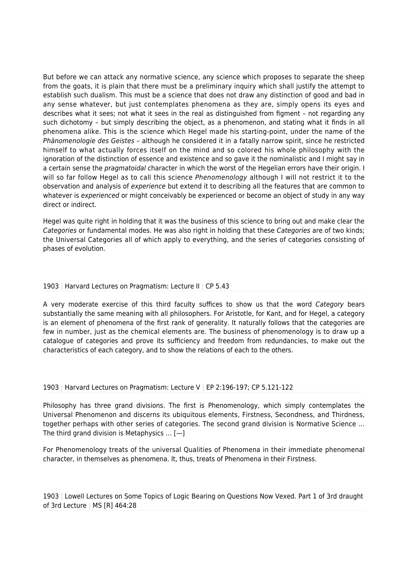But before we can attack any normative science, any science which proposes to separate the sheep from the goats, it is plain that there must be a preliminary inquiry which shall justify the attempt to establish such dualism. This must be a science that does not draw any distinction of good and bad in any sense whatever, but just contemplates phenomena as they are, simply opens its eyes and describes what it sees; not what it sees in the real as distinguished from figment – not regarding any such dichotomy – but simply describing the object, as a phenomenon, and stating what it finds in all phenomena alike. This is the science which Hegel made his starting-point, under the name of the Phänomenologie des Geistes – although he considered it in a fatally narrow spirit, since he restricted himself to what actually forces itself on the mind and so colored his whole philosophy with the ignoration of the distinction of essence and existence and so gave it the nominalistic and I might say in a certain sense the pragmatoidal character in which the worst of the Hegelian errors have their origin. I will so far follow Hegel as to call this science Phenomenology although I will not restrict it to the observation and analysis of experience but extend it to describing all the features that are common to whatever is experienced or might conceivably be experienced or become an object of study in any way direct or indirect.

Hegel was quite right in holding that it was the business of this science to bring out and make clear the Categories or fundamental modes. He was also right in holding that these Categories are of two kinds; the Universal Categories all of which apply to everything, and the series of categories consisting of phases of evolution.

## 1903 | Harvard Lectures on Pragmatism: Lecture II | CP 5.43

A very moderate exercise of this third faculty suffices to show us that the word Category bears substantially the same meaning with all philosophers. For Aristotle, for Kant, and for Hegel, a category is an element of phenomena of the first rank of generality. It naturally follows that the categories are few in number, just as the chemical elements are. The business of phenomenology is to draw up a catalogue of categories and prove its sufficiency and freedom from redundancies, to make out the characteristics of each category, and to show the relations of each to the others.

### 1903 | Harvard Lectures on Pragmatism: Lecture V | EP 2:196-197; CP 5.121-122

Philosophy has three grand divisions. The first is Phenomenology, which simply contemplates the Universal Phenomenon and discerns its ubiquitous elements, Firstness, Secondness, and Thirdness, together perhaps with other series of categories. The second grand division is Normative Science … The third grand division is Metaphysics  $\dots$  [-]

For Phenomenology treats of the universal Qualities of Phenomena in their immediate phenomenal character, in themselves as phenomena. It, thus, treats of Phenomena in their Firstness.

1903 | Lowell Lectures on Some Topics of Logic Bearing on Questions Now Vexed. Part 1 of 3rd draught of 3rd Lecture | MS [R] 464:28